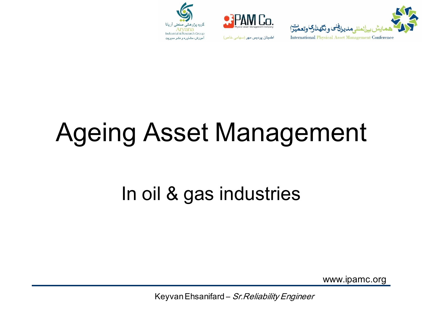



اطمینان پردیس مهر (سهامی خاص)



# Ageing Asset Management

#### In oil & gas industries

www.ipamc.org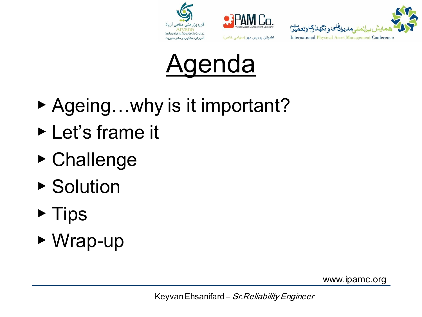







- ▶ Ageing...why is it important?
- ▶ Let's frame it
- ▶ Challenge
- ▶ Solution
- ▶ Tips
- ▶ Wrap-up

www.ipamc.org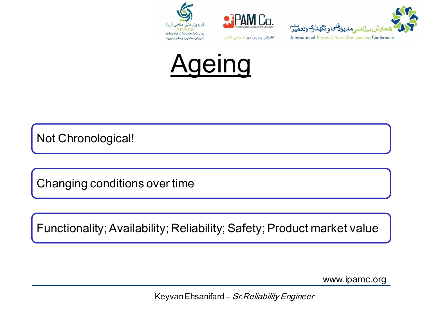







Not Chronological!

Changing conditions over time

Functionality; Availability; Reliability; Safety; Product market value

www.ipamc.org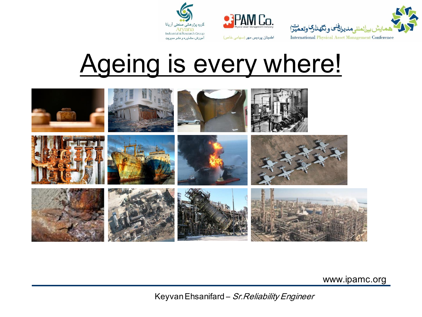





# Ageing is every where!



www.ipamc.org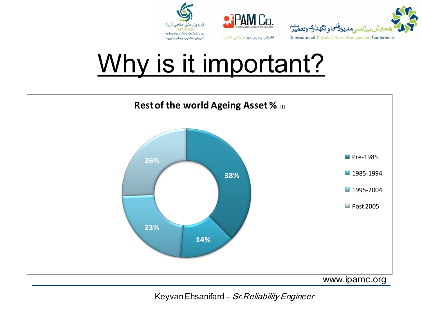





# Why is it important?

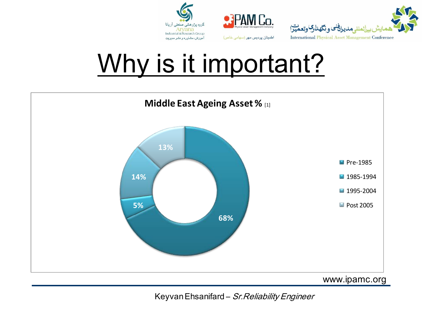





# Why is it important?

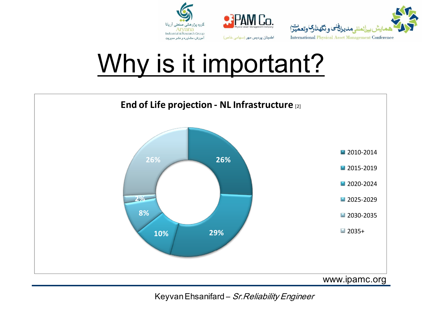![](_page_6_Picture_0.jpeg)

![](_page_6_Picture_1.jpeg)

![](_page_6_Picture_2.jpeg)

# Why is it important?

![](_page_6_Figure_4.jpeg)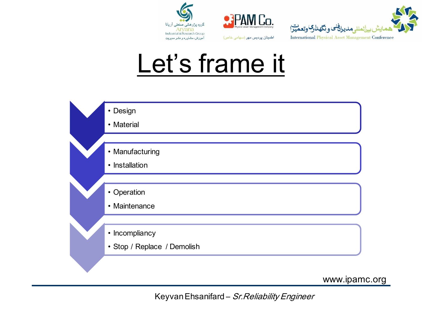![](_page_7_Picture_0.jpeg)

![](_page_7_Picture_1.jpeg)

![](_page_7_Picture_2.jpeg)

### Let's frame it

![](_page_7_Figure_4.jpeg)

www.ipamc.org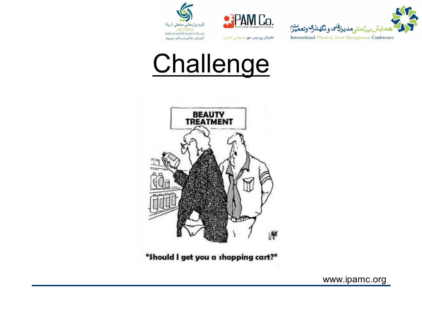![](_page_8_Picture_0.jpeg)

![](_page_8_Picture_1.jpeg)

![](_page_8_Picture_2.jpeg)

# **Challenge**

![](_page_8_Picture_4.jpeg)

"Should I get you a shopping cart?"

www.ipamc.org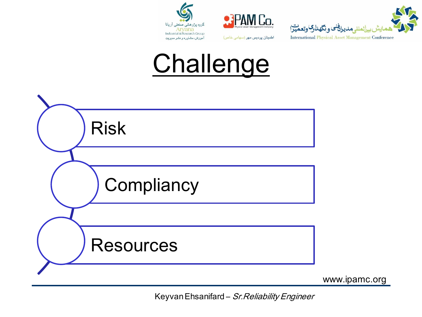![](_page_9_Picture_0.jpeg)

![](_page_9_Picture_1.jpeg)

![](_page_9_Picture_2.jpeg)

# **Challenge**

![](_page_9_Figure_4.jpeg)

www.ipamc.org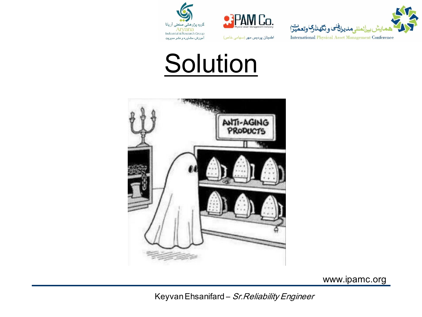![](_page_10_Picture_0.jpeg)

![](_page_10_Picture_1.jpeg)

![](_page_10_Picture_2.jpeg)

## **Solution**

![](_page_10_Picture_4.jpeg)

www.ipamc.org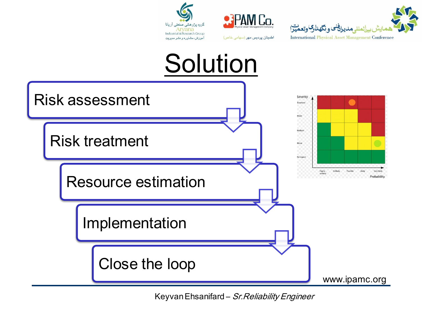![](_page_11_Picture_0.jpeg)

![](_page_11_Picture_1.jpeg)

![](_page_11_Figure_2.jpeg)

![](_page_11_Figure_3.jpeg)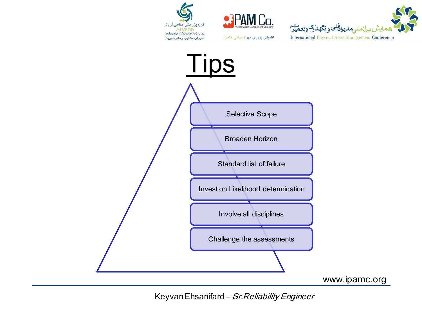![](_page_12_Picture_0.jpeg)

![](_page_12_Picture_1.jpeg)

اطمینان پردیس مهر (سهامی خاص)

![](_page_12_Picture_2.jpeg)

![](_page_12_Figure_3.jpeg)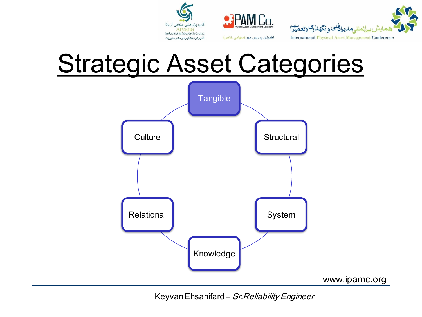![](_page_13_Picture_0.jpeg)

![](_page_13_Picture_1.jpeg)

![](_page_13_Picture_2.jpeg)

# **Strategic Asset Categories**

![](_page_13_Figure_4.jpeg)

KeyvanEhsanifard – Sr.Reliability Engineer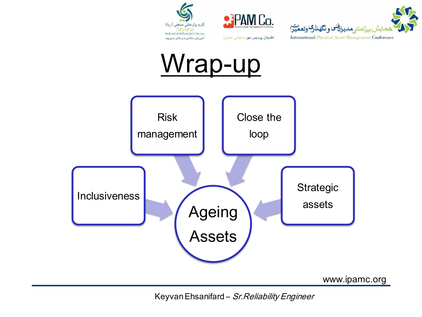![](_page_14_Picture_0.jpeg)

![](_page_14_Picture_1.jpeg)

![](_page_14_Picture_2.jpeg)

![](_page_14_Figure_3.jpeg)

www.ipamc.org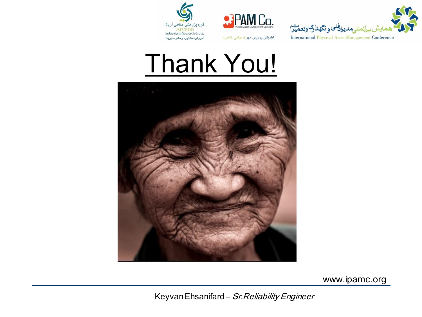![](_page_15_Picture_0.jpeg)

![](_page_15_Picture_1.jpeg)

![](_page_15_Picture_2.jpeg)

# Thank You!

![](_page_15_Picture_4.jpeg)

www.ipamc.org